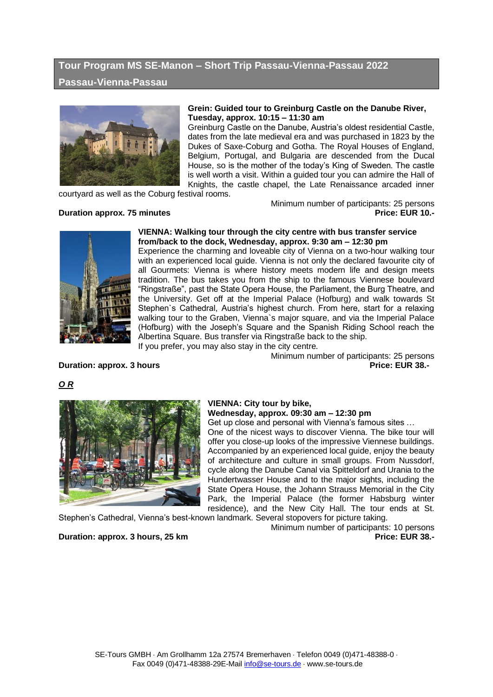# **Tour Program MS SE-Manon – Short Trip Passau-Vienna-Passau 2022**

## **Passau-Vienna-Passau**



#### **Grein: Guided tour to Greinburg Castle on the Danube River, Tuesday, approx. 10:15 – 11:30 am**

Greinburg Castle on the Danube, Austria's oldest residential Castle, dates from the late medieval era and was purchased in 1823 by the Dukes of Saxe-Coburg and Gotha. The Royal Houses of England, Belgium, Portugal, and Bulgaria are descended from the Ducal House, so is the mother of the today's King of Sweden. The castle is well worth a visit. Within a guided tour you can admire the Hall of Knights, the castle chapel, the Late Renaissance arcaded inner

courtyard as well as the Coburg festival rooms.

#### **Duration approx. 75 minutes**

Minimum number of participants: 25 persons<br>Price: EUR 10.-



#### **VIENNA: Walking tour through the city centre with bus transfer service from/back to the dock, Wednesday, approx. 9:30 am – 12:30 pm**

Experience the charming and loveable city of Vienna on a two-hour walking tour with an experienced local guide. Vienna is not only the declared favourite city of all Gourmets: Vienna is where history meets modern life and design meets tradition. The bus takes you from the ship to the famous Viennese boulevard "Ringstraße", past the State Opera House, the Parliament, the Burg Theatre, and the University. Get off at the Imperial Palace (Hofburg) and walk towards St Stephen`s Cathedral, Austria's highest church. From here, start for a relaxing walking tour to the Graben, Vienna`s major square, and via the Imperial Palace (Hofburg) with the Joseph's Square and the Spanish Riding School reach the Albertina Square. Bus transfer via Ringstraße back to the ship. If you prefer, you may also stay in the city centre.

Minimum number of participants: 25 persons **Duration: approx. 3** hours **Price: EUR** 38.-

# *O R*



# **VIENNA: City tour by bike,**

#### **Wednesday, approx. 09:30 am – 12:30 pm**

Get up close and personal with Vienna's famous sites … One of the nicest ways to discover Vienna. The bike tour will offer you close-up looks of the impressive Viennese buildings. Accompanied by an experienced local guide, enjoy the beauty

of architecture and culture in small groups. From Nussdorf, cycle along the Danube Canal via Spitteldorf and Urania to the Hundertwasser House and to the major sights, including the State Opera House, the Johann Strauss Memorial in the City Park, the Imperial Palace (the former Habsburg winter residence), and the New City Hall. The tour ends at St.

Stephen's Cathedral, Vienna's best-known landmark. Several stopovers for picture taking.

Minimum number of participants: 10 persons **Duration: approx. 3 hours, 25 km Price: EUR 38.-**